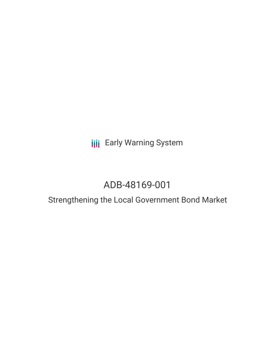**III** Early Warning System

# ADB-48169-001

## Strengthening the Local Government Bond Market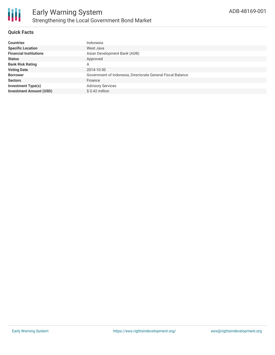

#### **Quick Facts**

| <b>Countries</b>               | Indonesia                                                   |
|--------------------------------|-------------------------------------------------------------|
| <b>Specific Location</b>       | West Java                                                   |
| <b>Financial Institutions</b>  | Asian Development Bank (ADB)                                |
| <b>Status</b>                  | Approved                                                    |
| <b>Bank Risk Rating</b>        | Α                                                           |
| <b>Voting Date</b>             | 2014-10-30                                                  |
| <b>Borrower</b>                | Government of Indonesia, Directorate General Fiscal Balance |
| <b>Sectors</b>                 | Finance                                                     |
| <b>Investment Type(s)</b>      | <b>Advisory Services</b>                                    |
| <b>Investment Amount (USD)</b> | $$0.42$ million                                             |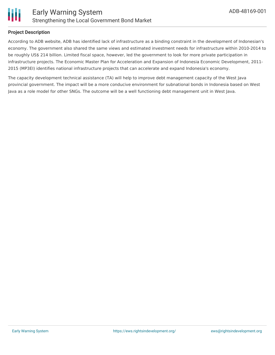

#### **Project Description**

According to ADB website, ADB has identified lack of infrastructure as a binding constraint in the development of Indonesian's economy. The government also shared the same views and estimated investment needs for infrastructure within 2010-2014 to be roughly US\$ 214 billion. Limited fiscal space, however, led the government to look for more private participation in infrastructure projects. The Economic Master Plan for Acceleration and Expansion of Indonesia Economic Development, 2011- 2015 (MP3EI) identifies national infrastructure projects that can accelerate and expand Indonesia's economy.

The capacity development technical assistance (TA) will help to improve debt management capacity of the West Java provincial government. The impact will be a more conducive environment for subnational bonds in Indonesia based on West Java as a role model for other SNGs. The outcome will be a well functioning debt management unit in West Java.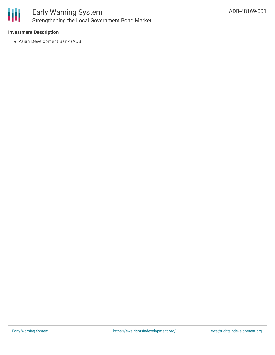

#### **Investment Description**

Asian Development Bank (ADB)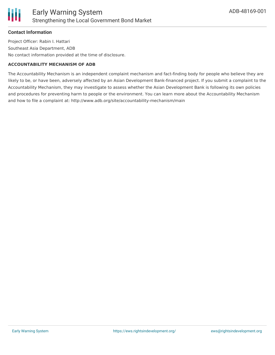#### **Contact Information**

Project Officer: Rabin I. Hattari Southeast Asia Department, ADB No contact information provided at the time of disclosure.

#### **ACCOUNTABILITY MECHANISM OF ADB**

The Accountability Mechanism is an independent complaint mechanism and fact-finding body for people who believe they are likely to be, or have been, adversely affected by an Asian Development Bank-financed project. If you submit a complaint to the Accountability Mechanism, they may investigate to assess whether the Asian Development Bank is following its own policies and procedures for preventing harm to people or the environment. You can learn more about the Accountability Mechanism and how to file a complaint at: http://www.adb.org/site/accountability-mechanism/main